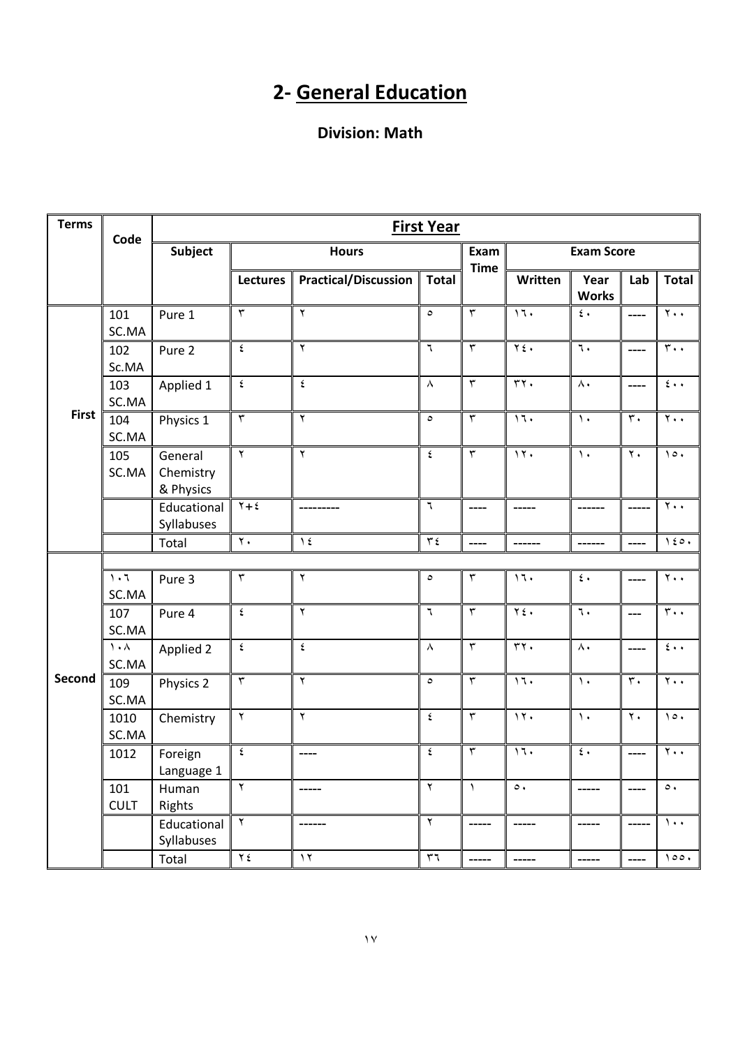# **2- General Education**

#### **Division: Math**

| <b>Terms</b> | Code                        |                                   | <b>First Year</b>       |                             |                         |                         |                                          |                      |                     |                              |  |  |
|--------------|-----------------------------|-----------------------------------|-------------------------|-----------------------------|-------------------------|-------------------------|------------------------------------------|----------------------|---------------------|------------------------------|--|--|
|              |                             | <b>Subject</b>                    |                         | <b>Hours</b>                |                         | Exam                    |                                          | <b>Exam Score</b>    |                     |                              |  |  |
|              |                             |                                   | <b>Lectures</b>         | <b>Practical/Discussion</b> | <b>Total</b>            | <b>Time</b>             | Written                                  | Year<br><b>Works</b> | Lab                 | <b>Total</b>                 |  |  |
|              | 101<br>SC.MA                | Pure 1                            | $\overline{\mathbf{r}}$ | ٢                           | $\circ$                 | $\overline{\mathbf{r}}$ | 11.                                      | $\epsilon$ .         | ----                | $\mathbf{y}$ .               |  |  |
|              | 102<br>Sc.MA                | Pure 2                            | ٤                       | ٦                           | ٦                       | $\overline{\tau}$       | $\overline{\gamma}$ { $\overline{\cdot}$ | $\overline{\cdot}$   | $---$               | $r \cdot \cdot$              |  |  |
|              | 103<br>SC.MA                | Applied 1                         | $\pmb{\xi}$             | $\mathbf{\hat{z}}$          | $\boldsymbol{\wedge}$   | $\overline{\tau}$       | $\overline{r}$                           | $\wedge\cdot$        | ----                | $\epsilon \cdot \cdot$       |  |  |
| <b>First</b> | 104<br>SC.MA                | Physics 1                         | $\overline{\tau}$       | ٢                           | $\circ$                 | ٣                       | 11.                                      | $\lambda$ .          | $\overline{\tau}$   | $\overline{\cdot}$ .         |  |  |
|              | 105<br>SC.MA                | General<br>Chemistry<br>& Physics | $\overline{\mathbf{r}}$ | ٢                           | ٤                       | $\overline{\tau}$       | 11.                                      | $\mathcal{N}$        | $\mathbf{Y}$ .      | $\lambda \circ \cdot$        |  |  |
|              |                             | Educational<br>Syllabuses         | $Y + \xi$               |                             | ٦                       | $---$                   | -----                                    |                      | -----               | $\overline{\cdot\cdot\cdot}$ |  |  |
|              |                             | Total                             | $\overline{\cdot}$      | $\lambda$ {                 | $\overline{\tau}$       | ----                    | ------                                   | ------               | ----                | 150.                         |  |  |
|              | $\overline{\cdot}$<br>SC.MA | Pure 3                            | $\overline{\mathbf{r}}$ | ۲                           | ٥                       | ٣                       | 11.                                      | $\mathfrak{t}$ .     | ----                | $\mathbf{y}$ .               |  |  |
|              | 107<br>SC.MA                | Pure 4                            | $\pmb{\mathfrak{c}}$    | ٢                           | $\mathbb{I}$            | $\overline{\mathbf{r}}$ | $\overline{\gamma\epsilon}$ .            | $\mathcal{L}$        | ---                 | $\overline{\tau}$ .          |  |  |
|              | $\lambda$<br>SC.MA          | Applied 2                         | ٤                       | $\pmb{\mathfrak{c}}$        | $\boldsymbol{\wedge}$   | ٣                       | rr.                                      | $\wedge\cdot$        | ----                | $\epsilon \cdot \cdot$       |  |  |
| Second       | 109<br>SC.MA                | Physics 2                         | $\overline{\tau}$       | $\overline{\mathbf{r}}$     | $\circ$                 | $\overline{\mathbf{r}}$ | 17.                                      | $\lambda$            | $\overline{\tau}$ . | $\overline{\Upsilon}$ .      |  |  |
|              | 1010<br>SC.MA               | Chemistry                         | ٢                       | ٢                           | ٤                       | $\overline{\mathbf{r}}$ | $\overline{\mathbf{y}}$                  | $\mathcal{N}$        | $\overline{\cdot}$  | $\lambda \circ \cdot$        |  |  |
|              | 1012                        | Foreign<br>Language 1             | $\pmb{\acute{\xi}}$     | $---$                       | $\pmb{\acute{\xi}}$     | $\mathbf{\breve{v}}$    | 17.                                      | $\mathfrak{t}$ .     | $---$               | $\mathbf{y}$ .               |  |  |
|              | 101<br><b>CULT</b>          | Human<br>Rights                   | ٢                       |                             | ٢                       | $\lambda$               | $\circ$ .                                |                      |                     | $\circ$ .                    |  |  |
|              |                             | Educational<br>Syllabuses         | $\mathbf Y$             |                             | $\overline{\mathbf{r}}$ |                         |                                          |                      |                     | $\lambda$ .                  |  |  |
|              |                             | Total                             | $Y\xi$                  | $\overline{y}$              | $\overline{r}$          | -----                   | ------                                   | -----                | $--- -$             | 100.                         |  |  |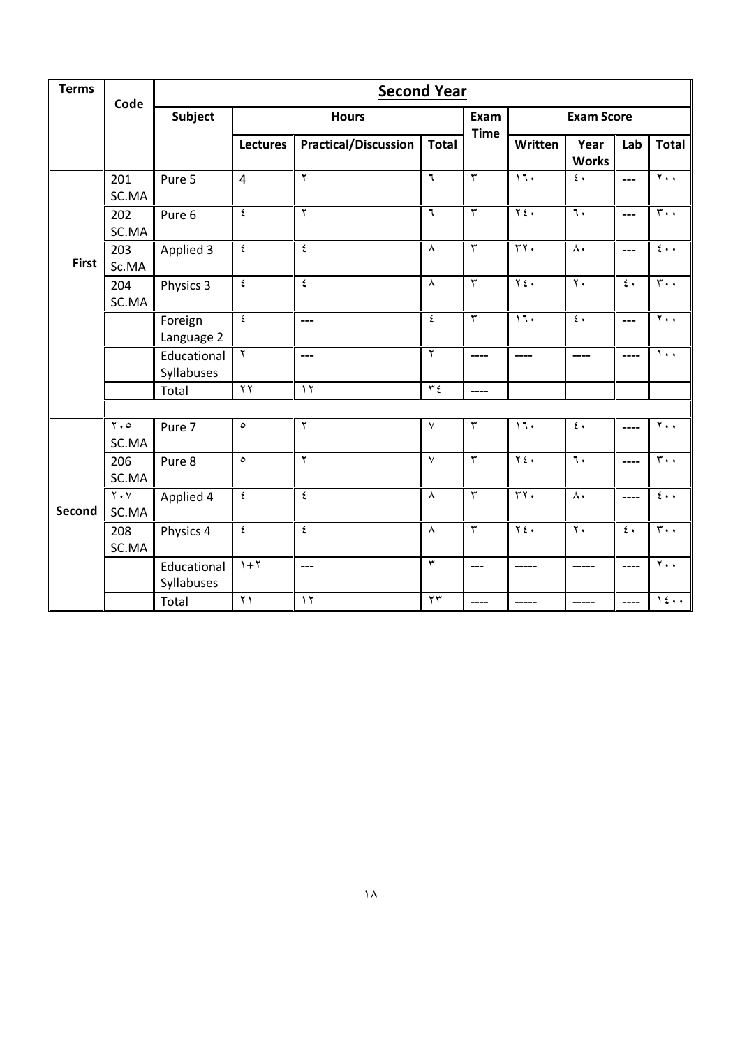| <b>Terms</b>  | Code                                        |                           | <b>Second Year</b>    |                             |                         |                         |                                             |                             |                       |                                        |  |  |  |
|---------------|---------------------------------------------|---------------------------|-----------------------|-----------------------------|-------------------------|-------------------------|---------------------------------------------|-----------------------------|-----------------------|----------------------------------------|--|--|--|
|               |                                             | <b>Subject</b>            |                       | <b>Hours</b>                |                         | Exam<br><b>Time</b>     |                                             | <b>Exam Score</b>           |                       |                                        |  |  |  |
|               |                                             |                           | <b>Lectures</b>       | <b>Practical/Discussion</b> | <b>Total</b>            |                         | Written                                     | Year<br><b>Works</b>        | Lab                   | Total                                  |  |  |  |
|               | 201<br>SC.MA                                | Pure 5                    | $\overline{4}$        | $\mathbf Y$                 | $\mathbb{I}$            | $\overline{\mathbf{r}}$ | 17.                                         | $\epsilon$ .                | ---                   | $\mathbf{y}$                           |  |  |  |
|               | 202<br>SC.MA                                | Pure 6                    | ٤                     | $\mathbf{Y}$                | $\mathbf{r}$            | $\overline{r}$          | $\overline{\gamma_{\xi}}$                   | $\overline{\mathfrak{r}}$ . | $\overline{a}$        | $\overline{\mathfrak{r}}$ .            |  |  |  |
| <b>First</b>  | 203<br>Sc.MA                                | Applied 3                 | ٤                     | $\pmb{\mathfrak{c}}$        | $\lambda$               | $\overline{\mathbf{r}}$ | $\overline{r}$                              | $\wedge\cdot$               | ---                   | $\epsilon \cdot \cdot$                 |  |  |  |
|               | 204<br>SC.MA                                | Physics 3                 | ٤                     | ٤                           | $\lambda$               | $\overline{\mathbf{r}}$ | $\overline{\gamma_{\xi}}$                   | $\overline{\Upsilon}$       | $\overline{\epsilon}$ | $\overline{\mathbf{r}}\cdot\mathbf{r}$ |  |  |  |
|               |                                             | Foreign<br>Language 2     | $\pmb{\mathfrak{c}}$  | $---$                       | $\acute{\text{z}}$      | $\overline{\mathbf{r}}$ | 11.                                         | $\epsilon$ .                | ---                   | $\overline{\tau}$ .                    |  |  |  |
|               |                                             | Educational<br>Syllabuses | ۲                     | $\overline{a}$              | $\overline{\mathbf{r}}$ | $---$                   | ----                                        | ----                        | ----                  | $\mathcal{L}$ .                        |  |  |  |
|               |                                             | Total                     | $\overline{Y}$        | $\overline{y}$              | $\overline{\tau}$       | ----                    |                                             |                             |                       |                                        |  |  |  |
|               |                                             |                           |                       |                             |                         |                         |                                             |                             |                       |                                        |  |  |  |
|               | $\overline{\Upsilon \cdot \circ}$<br>SC.MA  | Pure 7                    | $\circ$               | ۲                           | $\overline{\vee}$       | $\overline{\tau}$       | $\overline{\mathbf{1}}$                     | $\epsilon$ .                | ----                  | $\overline{\tau}$ .                    |  |  |  |
|               | 206<br>SC.MA                                | Pure 8                    | $\circ$               | $\overline{Y}$              | $\overline{\vee}$       | $\overline{r}$          | $\overline{\gamma}$ $\overline{\epsilon}$ . | $\overline{\cdot}$          | ----                  | $\overline{\mathbf{r}\cdot\mathbf{r}}$ |  |  |  |
| <b>Second</b> | $\overline{\Upsilon\cdot\Upsilon}$<br>SC.MA | Applied 4                 | ٤                     | $\pmb{\mathsf{\xi}}$        | $\lambda$               | $\overline{\mathbf{r}}$ | $\overline{r}$                              | $\Lambda$                   | ----                  | $\overline{\epsilon}$ .                |  |  |  |
|               | 208<br>SC.MA                                | Physics 4                 | ٤                     | $\pmb{\mathfrak{c}}$        | $\lambda$               | $\overline{\mathbf{r}}$ | $\overline{\gamma_{\epsilon}}$ .            | $\overline{\cdot}$          | $\epsilon$ .          | $\overline{\tau}$ .                    |  |  |  |
|               |                                             | Educational<br>Syllabuses | $\lambda + \lambda$   | $\overline{a}$              | $\overline{\mathbf{r}}$ | $\overline{a}$          | -----                                       | -----                       | ----                  | $\overline{\Upsilon}$ .                |  |  |  |
|               |                                             | Total                     | $\overline{\Upsilon}$ | $\overline{y}$              | $\overline{\tau}$       | $---$                   | -----                                       | -----                       | ----                  | 15                                     |  |  |  |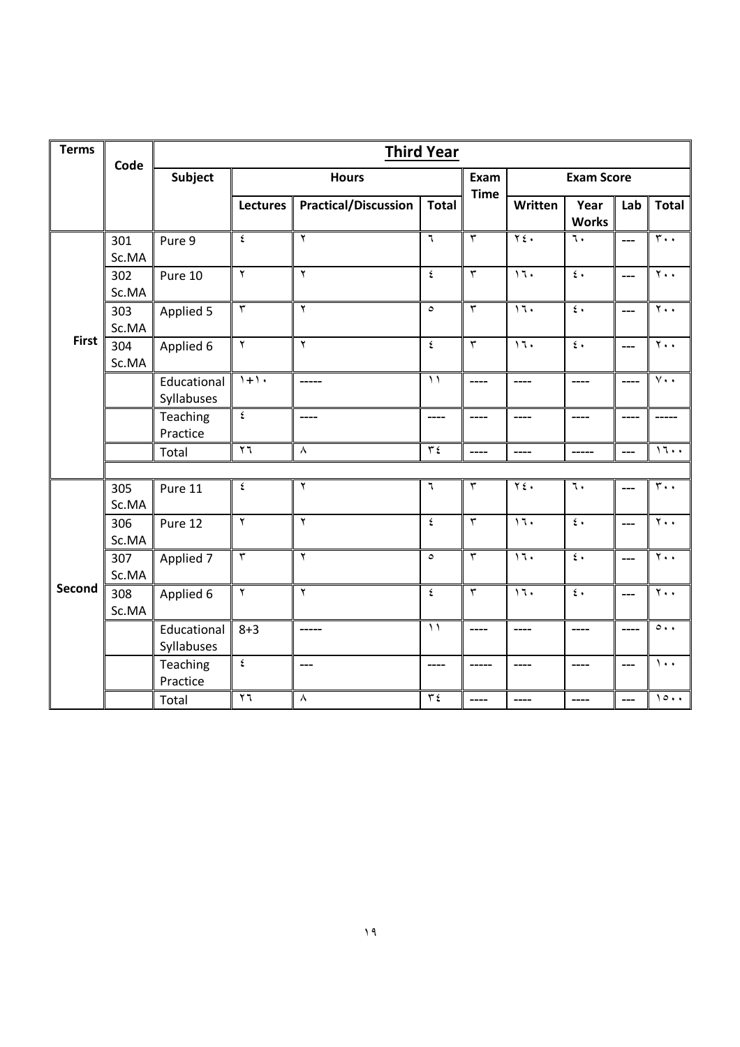| <b>Terms</b> | Code         |                           | <b>Third Year</b>        |                             |                          |                         |                                                                                                                                                                                                                                                                                                                                                                                                                                                |                       |                |                           |  |  |  |
|--------------|--------------|---------------------------|--------------------------|-----------------------------|--------------------------|-------------------------|------------------------------------------------------------------------------------------------------------------------------------------------------------------------------------------------------------------------------------------------------------------------------------------------------------------------------------------------------------------------------------------------------------------------------------------------|-----------------------|----------------|---------------------------|--|--|--|
|              |              | <b>Subject</b>            |                          | <b>Hours</b>                |                          | Exam<br><b>Time</b>     |                                                                                                                                                                                                                                                                                                                                                                                                                                                | <b>Exam Score</b>     |                |                           |  |  |  |
|              |              |                           | <b>Lectures</b>          | <b>Practical/Discussion</b> | <b>Total</b>             |                         | Written                                                                                                                                                                                                                                                                                                                                                                                                                                        | Year<br><b>Works</b>  | Lab            | <b>Total</b>              |  |  |  |
|              | 301<br>Sc.MA | Pure 9                    | $\pmb{\epsilon}$         | $\overline{\mathbf{r}}$     | $\overline{\mathcal{L}}$ | $\overline{\mathbf{r}}$ | $\overline{\gamma}$ { $\overline{\cdot}$                                                                                                                                                                                                                                                                                                                                                                                                       | ٦.                    | $\overline{a}$ | $\overline{r}$ .          |  |  |  |
|              | 302<br>Sc.MA | Pure 10                   | $\mathbf{Y}$             | $\overline{\mathbf{r}}$     | $\acute{\boldsymbol{z}}$ | $\overline{\mathbf{r}}$ | 11.                                                                                                                                                                                                                                                                                                                                                                                                                                            | $\epsilon$ .          | $---$          | $\overline{\tau}$ .       |  |  |  |
|              | 303<br>Sc.MA | Applied 5                 | $\overline{\mathbf{r}}$  | $\overline{\mathsf{r}}$     | $\circ$                  | $\overline{\tau}$       | 17.                                                                                                                                                                                                                                                                                                                                                                                                                                            | $\epsilon$ .          | $---$          | $\overline{\Upsilon}$ .   |  |  |  |
| <b>First</b> | 304<br>Sc.MA | Applied 6                 | $\overline{\mathbf{y}}$  | $\overline{\mathbf{r}}$     | $\mathbf{\hat{z}}$       | $\overline{\mathbf{r}}$ | $\overline{\mathbf{1}}$                                                                                                                                                                                                                                                                                                                                                                                                                        | $\epsilon$ .          | $---$          | $\overline{\Upsilon}$ .   |  |  |  |
|              |              | Educational<br>Syllabuses | $1 + 1.$                 | ------                      | $\setminus$              | ----                    | ----                                                                                                                                                                                                                                                                                                                                                                                                                                           | ----                  | $- - - -$      | $\overline{v}$ .          |  |  |  |
|              |              | Teaching<br>Practice      | $\pmb{\acute{\text{z}}}$ | $---$                       | ----                     | ----                    | ----                                                                                                                                                                                                                                                                                                                                                                                                                                           | ----                  | ----           |                           |  |  |  |
|              |              | Total                     | $\overline{\Upsilon}$    | $\boldsymbol{\wedge}$       | $\overline{\tau}$        | ----                    | $\frac{1}{2} \left( \frac{1}{2} \right) + \frac{1}{2} \left( \frac{1}{2} \right) + \frac{1}{2} \left( \frac{1}{2} \right) + \frac{1}{2} \left( \frac{1}{2} \right) + \frac{1}{2} \left( \frac{1}{2} \right) + \frac{1}{2} \left( \frac{1}{2} \right) + \frac{1}{2} \left( \frac{1}{2} \right) + \frac{1}{2} \left( \frac{1}{2} \right) + \frac{1}{2} \left( \frac{1}{2} \right) + \frac{1}{2} \left( \frac{1}{2} \right) + \frac{1}{2} \left($ | -----                 | $---$          | 11                        |  |  |  |
|              | 305          | Pure 11                   | ٤                        | $\mathbf{Y}$                | ٦                        | $\mathbf{\tau}$         | $Y \xi$ .                                                                                                                                                                                                                                                                                                                                                                                                                                      | $\mathcal{L}$         | ---            | $\mathbf{r}$ .            |  |  |  |
|              | Sc.MA        |                           |                          |                             |                          |                         |                                                                                                                                                                                                                                                                                                                                                                                                                                                |                       |                |                           |  |  |  |
|              | 306<br>Sc.MA | Pure 12                   | $\overline{\mathbf{r}}$  | $\overline{\mathbf{r}}$     | ٤                        | $\overline{\mathbf{r}}$ | $\overline{\mathbf{1}}$                                                                                                                                                                                                                                                                                                                                                                                                                        | $\epsilon$ .          | $\overline{a}$ | $\overline{\Upsilon}$ .   |  |  |  |
|              | 307<br>Sc.MA | Applied 7                 | $\overline{\mathbf{r}}$  | $\overline{\mathbf{r}}$     | $\circ$                  | $\overline{\tau}$       | $\overline{\mathbf{1}}$                                                                                                                                                                                                                                                                                                                                                                                                                        | $\epsilon$ .          | $---$          | $\overline{\tau}$ .       |  |  |  |
| Second       | 308<br>Sc.MA | Applied 6                 | $\overline{\mathsf{r}}$  | $\overline{\mathbf{y}}$     | $\acute{\boldsymbol{z}}$ | $\overline{\tau}$       | 17.                                                                                                                                                                                                                                                                                                                                                                                                                                            | $\overline{\epsilon}$ | $\overline{a}$ | $\overline{\mathbf{y}}$ . |  |  |  |
|              |              | Educational<br>Syllabuses | $8 + 3$                  | $-----$                     | $\setminus$              | ----                    | $\frac{1}{2} \left( \frac{1}{2} \right) = \frac{1}{2} \left( \frac{1}{2} \right) = \frac{1}{2} \left( \frac{1}{2} \right) = \frac{1}{2} \left( \frac{1}{2} \right) = \frac{1}{2} \left( \frac{1}{2} \right) = \frac{1}{2} \left( \frac{1}{2} \right) = \frac{1}{2} \left( \frac{1}{2} \right) = \frac{1}{2} \left( \frac{1}{2} \right) = \frac{1}{2} \left( \frac{1}{2} \right) = \frac{1}{2} \left( \frac{1}{2} \right) = \frac{1}{2} \left($ | ----                  | $---$          | $\circ \cdot \cdot$       |  |  |  |
|              |              | Teaching<br>Practice      | $\epsilon$               | $---$                       | ----                     | -----                   | ----                                                                                                                                                                                                                                                                                                                                                                                                                                           | ----                  | $---$          | $\mathcal{N}$ .           |  |  |  |
|              |              | Total                     | $\overline{1}$           | ٨                           | $\overline{\tau}$        | ----                    | $---$                                                                                                                                                                                                                                                                                                                                                                                                                                          | ----                  | $---$          | 10                        |  |  |  |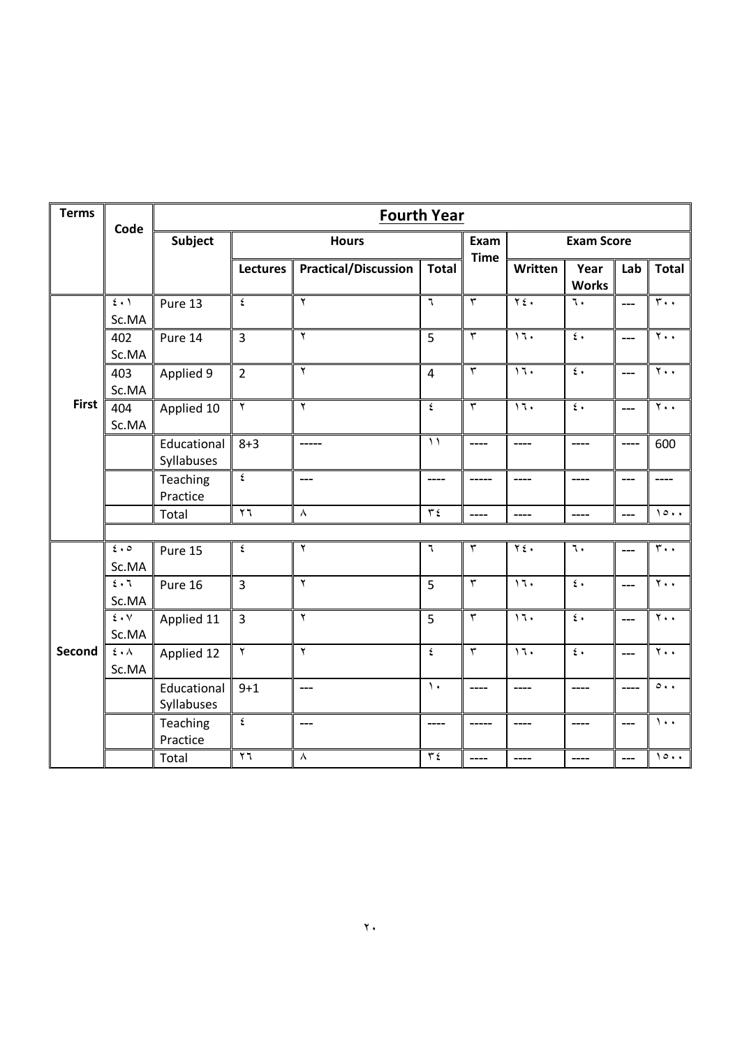| <b>Terms</b> | Code                                   |                           | <b>Fourth Year</b>      |                                     |                          |                         |                                             |                       |                |                                        |  |  |  |
|--------------|----------------------------------------|---------------------------|-------------------------|-------------------------------------|--------------------------|-------------------------|---------------------------------------------|-----------------------|----------------|----------------------------------------|--|--|--|
|              |                                        | <b>Subject</b>            |                         | <b>Hours</b>                        |                          | Exam<br><b>Time</b>     |                                             | <b>Exam Score</b>     |                |                                        |  |  |  |
|              |                                        |                           | <b>Lectures</b>         | <b>Practical/Discussion</b>         | <b>Total</b>             |                         | Written                                     | Year<br><b>Works</b>  | Lab            | <b>Total</b>                           |  |  |  |
|              | $\overline{\epsilon}$ .<br>Sc.MA       | Pure 13                   | $\epsilon$              | $\overline{\mathbf{y}}$             | $\overline{\mathcal{L}}$ | $\overline{\mathbf{r}}$ | $\overline{\gamma_{\epsilon}}$ .            | ٦.                    | $---$          | $\overline{\mathbf{r}\cdot\mathbf{r}}$ |  |  |  |
|              | 402<br>Sc.MA                           | Pure 14                   | $\overline{3}$          | $\overline{\mathbf{r}}$             | $\overline{5}$           | $\overline{\mathbf{r}}$ | 17.                                         | $\overline{\epsilon}$ | ---            | $\overline{\Upsilon}$ .                |  |  |  |
|              | 403<br>Sc.MA                           | Applied 9                 | $\overline{2}$          | $\overline{\mathbf{r}}$             | $\overline{4}$           | $\overline{\mathbf{r}}$ | $\overline{\mathbf{u}}$                     | $\mathfrak{c}$ .      | $\overline{a}$ | $\overline{\Upsilon}$ .                |  |  |  |
| <b>First</b> | 404<br>Sc.MA                           | Applied 10                | $\overline{\mathbf{y}}$ | $\overline{\mathbf{r}}$             | ٤                        | $\overline{r}$          | $\overline{\mathbf{1}}$                     | $\epsilon$ .          | ---            | $\overline{\tau}$ .                    |  |  |  |
|              |                                        | Educational<br>Syllabuses | $8 + 3$                 | -----                               | $\overline{\mathcal{L}}$ | ----                    | ----                                        | ----                  | ----           | 600                                    |  |  |  |
|              |                                        | Teaching<br>Practice      | $\pmb{\mathfrak{c}}$    | $\hspace{0.05cm}---\hspace{0.05cm}$ | ----                     | -----                   | ----                                        | $---$                 | $---$          | ----                                   |  |  |  |
|              |                                        | Total                     | $\overline{11}$         | $\wedge$                            | $\overline{\tau}$        | ----                    | ----                                        | $---$                 | $\overline{a}$ | 10                                     |  |  |  |
|              | $\epsilon \cdot \circ$                 |                           | $\mathbf{\hat{z}}$      | $\overline{\mathbf{r}}$             | ٦                        | $\overline{\tau}$       | $\overline{\gamma}$ $\overline{\epsilon}$ . | $\overline{\cdot}$    |                | $\overline{r}$ .                       |  |  |  |
|              | Sc.MA                                  | Pure 15                   |                         |                                     |                          |                         |                                             |                       | ---            |                                        |  |  |  |
|              | $\overline{\epsilon \cdot 7}$<br>Sc.MA | Pure 16                   | $\overline{3}$          | $\overline{\mathbf{r}}$             | 5                        | $\overline{\tau}$       | $\overline{\mathbf{1}}$                     | $\overline{\epsilon}$ | $\overline{a}$ | $\overline{\Upsilon}$ .                |  |  |  |
|              | $\epsilon \cdot v$<br>Sc.MA            | Applied 11                | $\overline{3}$          | $\overline{\mathbf{r}}$             | 5                        | $\overline{r}$          | 17.                                         | $\epsilon$ .          | $\overline{a}$ | $\overline{\Upsilon}$ .                |  |  |  |
| Second       | $\epsilon \cdot \lambda$<br>Sc.MA      | Applied 12                | $\overline{\mathbf{r}}$ | $\overline{\mathbf{r}}$             | ٤                        | $\overline{\mathbf{r}}$ | 17.                                         | $\overline{\epsilon}$ | $---$          | $\overline{\tau}$ .                    |  |  |  |
|              |                                        | Educational<br>Syllabuses | $9 + 1$                 | $---$                               | $\lambda$                | ----                    | ----                                        | ----                  | ----           | $\circ \cdot \cdot$                    |  |  |  |
|              |                                        | Teaching<br>Practice      | $\pmb{\mathfrak{c}}$    | $---$                               | ----                     | -----                   | ----                                        | ----                  | $---$          | $\overline{\phantom{a}}$               |  |  |  |
|              |                                        | Total                     | $\overline{1}$          | ٨                                   | $\tau$                   | ----                    | ----                                        | ----                  | $\overline{a}$ | 10                                     |  |  |  |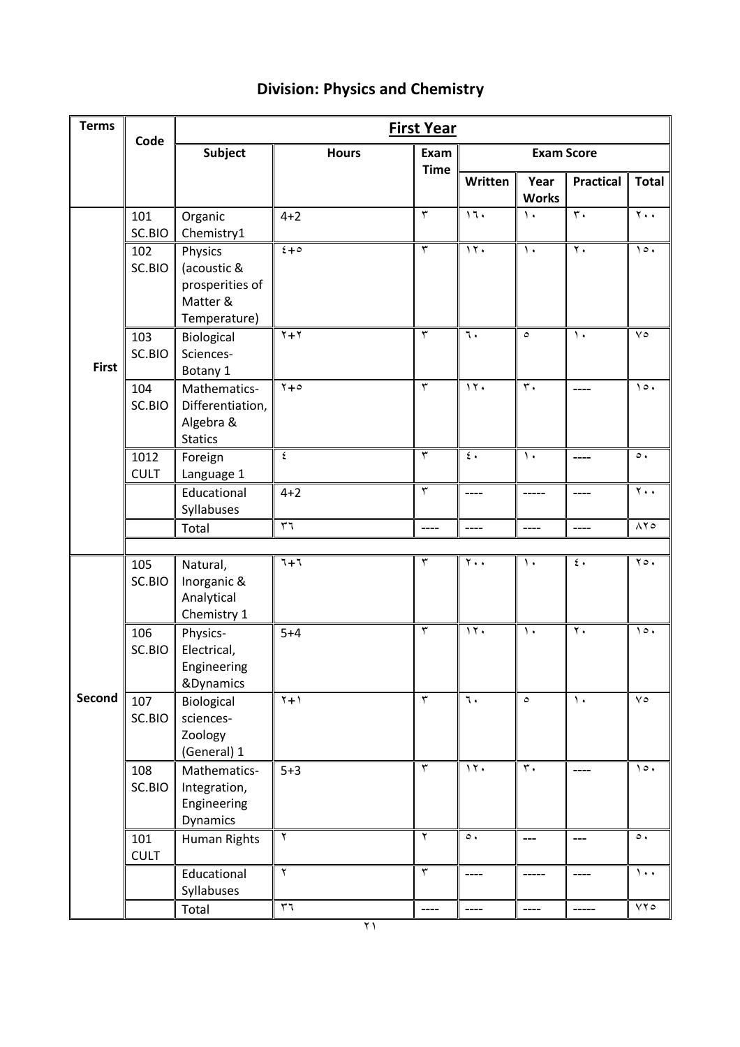### **Division: Physics and Chemistry**

| <b>Terms</b> |                     |                                                                       |                         | <b>First Year</b>       |                         |                           |                           |                               |
|--------------|---------------------|-----------------------------------------------------------------------|-------------------------|-------------------------|-------------------------|---------------------------|---------------------------|-------------------------------|
|              | Code                | <b>Subject</b>                                                        | <b>Hours</b>            | Exam                    |                         | <b>Exam Score</b>         |                           |                               |
|              |                     |                                                                       |                         | <b>Time</b>             | Written                 | Year<br><b>Works</b>      | <b>Practical</b>          | <b>Total</b>                  |
|              | 101<br>SC.BIO       | Organic<br>Chemistry1                                                 | $4 + 2$                 | ٣                       | 11.                     | $\lambda$                 | $\overline{\mathbf{r}}$ . | $\overline{\Upsilon}$ .       |
|              | 102<br>SC.BIO       | Physics<br>(acoustic &<br>prosperities of<br>Matter &<br>Temperature) | $2 + 0$                 | $\overline{\mathbf{r}}$ | 11.                     | $\mathcal{N}$             | $\overline{\cdot}$        | $\overline{\phantom{a}}$      |
| <b>First</b> | 103<br>SC.BIO       | Biological<br>Sciences-<br>Botany 1                                   | $\overline{Y+Y}$        | $\overline{\mathbf{r}}$ | $\overline{\cdot}$      | $\circ$                   | $\lambda$                 | $\sqrt{\circ}$                |
|              | 104<br>SC.BIO       | Mathematics-<br>Differentiation,<br>Algebra &<br><b>Statics</b>       | $\sqrt{+0}$             | $\overline{\mathbf{r}}$ | 11.                     | $\overline{\mathbf{r}}$ . | ----                      | $\lambda \circ \cdot$         |
|              | 1012<br><b>CULT</b> | Foreign<br>Language 1                                                 | ٤                       | $\mathbf{r}$            | $\epsilon$ .            | $\mathcal{L}$             | ----                      | $\circ$ .                     |
|              |                     | Educational<br>Syllabuses                                             | $4 + 2$                 | $\overline{\tau}$       | ----                    | -----                     | ----                      | $\mathbf{y}$ .                |
|              |                     | Total                                                                 | $\overline{r}$          | $---$                   | ----                    | ----                      | ----                      | $\overline{\lambda \Upsilon}$ |
|              | 105                 | Natural,                                                              | $7+7$                   | $\mathbf{\tilde{r}}$    | $\mathbf{y}$ .          | $\lambda$                 | $\mathfrak{t}$ .          | $\overline{\gamma}$ .         |
|              | SC.BIO              | Inorganic &<br>Analytical<br>Chemistry 1                              |                         |                         |                         |                           |                           |                               |
|              | 106<br>SC.BIO       | Physics-<br>Electrical,<br>Engineering<br>&Dynamics                   | $5 + 4$                 | $\overline{\mathbf{r}}$ | $\overline{\mathbf{y}}$ | $\lambda$                 | $\mathbf{y}$ .            | $\lambda \circ \cdot$         |
| Second       | 107<br>SC.BIO       | Biological<br>sciences-<br>Zoology<br>(General) 1                     | $\sqrt{+1}$             | $\overline{\mathbf{r}}$ | $\overline{\cdot}$      | $\circ$                   | $\overline{\cdot}$        | $\sqrt{\circ}$                |
|              | 108<br>SC.BIO       | Mathematics-<br>Integration,<br>Engineering<br>Dynamics               | $5 + 3$                 | $\overline{r}$          | $\overline{\mathbf{y}}$ | $\overline{\tau}$         |                           | $\circ \cdot$                 |
|              | 101<br><b>CULT</b>  | <b>Human Rights</b>                                                   | $\mathbf{r}$            | $\overline{\mathbf{r}}$ | $\circ$ .               | $---$                     | $---$                     | $\circ$ .                     |
|              |                     | Educational<br>Syllabuses                                             | $\overline{\mathbf{r}}$ | $\overline{\tau}$       |                         |                           |                           | $\mathcal{L}$ .               |
|              |                     | Total                                                                 | $r\tau$                 | $\qquad \qquad - - -$   | $\frac{1}{2}$           | ----                      | -----                     | YYO                           |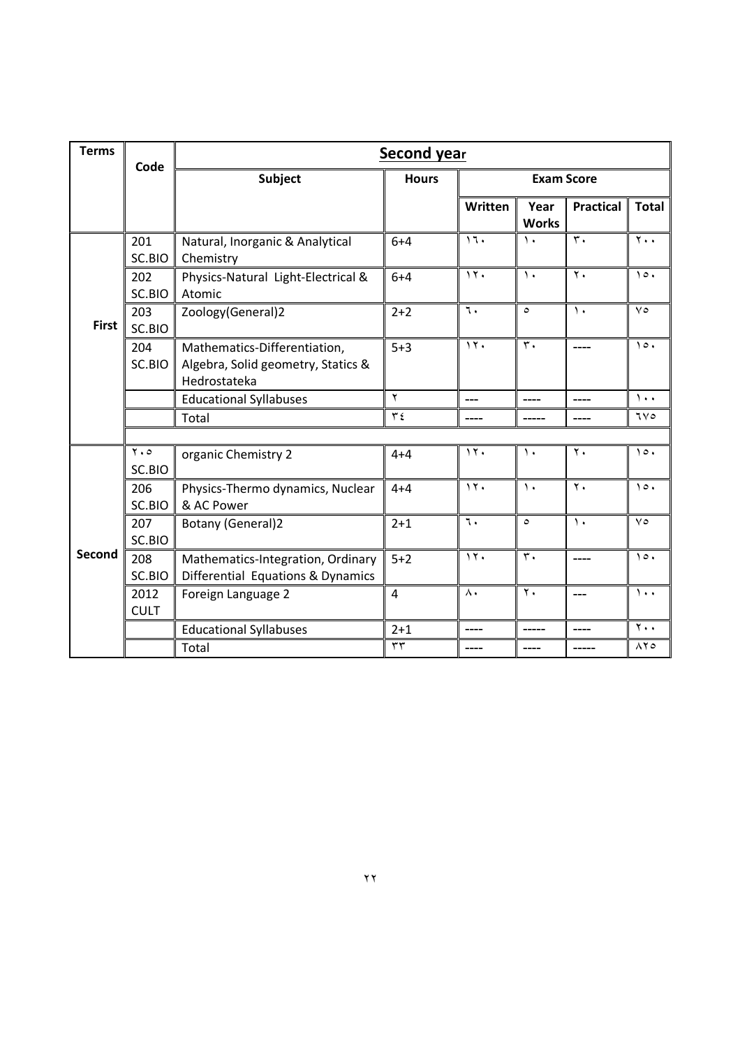| <b>Terms</b> | Code                  | <b>Second year</b>                                                                 |                |                         |                      |                         |                                |  |  |  |  |
|--------------|-----------------------|------------------------------------------------------------------------------------|----------------|-------------------------|----------------------|-------------------------|--------------------------------|--|--|--|--|
|              |                       | <b>Subject</b>                                                                     | <b>Hours</b>   |                         | <b>Exam Score</b>    |                         |                                |  |  |  |  |
|              |                       |                                                                                    |                | Written                 | Year<br><b>Works</b> | <b>Practical</b>        | <b>Total</b>                   |  |  |  |  |
|              | 201<br>SC.BIO         | Natural, Inorganic & Analytical<br>Chemistry                                       | $6 + 4$        | 17.                     | $\mathcal{L}$        | $\overline{\mathbf{r}}$ | $\overline{\Upsilon}$ .        |  |  |  |  |
|              | 202<br>SC.BIO         | Physics-Natural Light-Electrical &<br>Atomic                                       | $6 + 4$        | 11.                     | $\lambda$            | $\overline{\Upsilon}$   | $\lambda \circ \cdot$          |  |  |  |  |
| <b>First</b> | 203<br>SC.BIO         | Zoology(General)2                                                                  | $2 + 2$        | $\overline{\cdot}$      | $\circ$              | $\mathcal{N}$           | $\vee$                         |  |  |  |  |
|              | 204<br>SC.BIO         | Mathematics-Differentiation,<br>Algebra, Solid geometry, Statics &<br>Hedrostateka | $5 + 3$        | $\overline{\mathbf{y}}$ | $\mathbf r$ .        |                         | $\lambda \circ \cdot$          |  |  |  |  |
|              |                       | <b>Educational Syllabuses</b>                                                      | $\mathsf{Y}$   | $---$                   | ----                 | ----                    | $\lambda \cdot \cdot$          |  |  |  |  |
|              |                       | Total                                                                              | $\mathbf{r}$ { | ----                    | -----                | ----                    | 7V <sub>o</sub>                |  |  |  |  |
|              |                       |                                                                                    |                |                         |                      |                         |                                |  |  |  |  |
|              | $Y \cdot 0$<br>SC.BIO | organic Chemistry 2                                                                | $4 + 4$        | 11.                     | ١.                   | $\mathbf{y}$ .          | $\cdot$                        |  |  |  |  |
|              | 206<br>SC.BIO         | Physics-Thermo dynamics, Nuclear<br>& AC Power                                     | $4 + 4$        | 11.                     | $\mathcal{L}$        | $\mathbf{y}$ .          | 10.                            |  |  |  |  |
|              | 207<br>SC.BIO         | <b>Botany (General)2</b>                                                           | $2 + 1$        | $\overline{\cdot}$      | $\circ$              | $\lambda$               | $\vee$                         |  |  |  |  |
| Second       | 208<br>SC.BIO         | Mathematics-Integration, Ordinary<br>Differential Equations & Dynamics             | $5 + 2$        | $\overline{\mathbf{y}}$ | $\mathbf r$ .        | ----                    | $\lambda \circ \cdot$          |  |  |  |  |
|              | 2012<br><b>CULT</b>   | Foreign Language 2                                                                 | 4              | $\Lambda$ .             | $\mathbf{y}$ .       | ---                     | $\lambda$ .                    |  |  |  |  |
|              |                       | <b>Educational Syllabuses</b>                                                      | $2 + 1$        |                         |                      |                         | $\overline{\tau_{\cdot\cdot}}$ |  |  |  |  |
|              |                       | Total                                                                              | $\tau\tau$     |                         |                      |                         | $\lambda \Upsilon$             |  |  |  |  |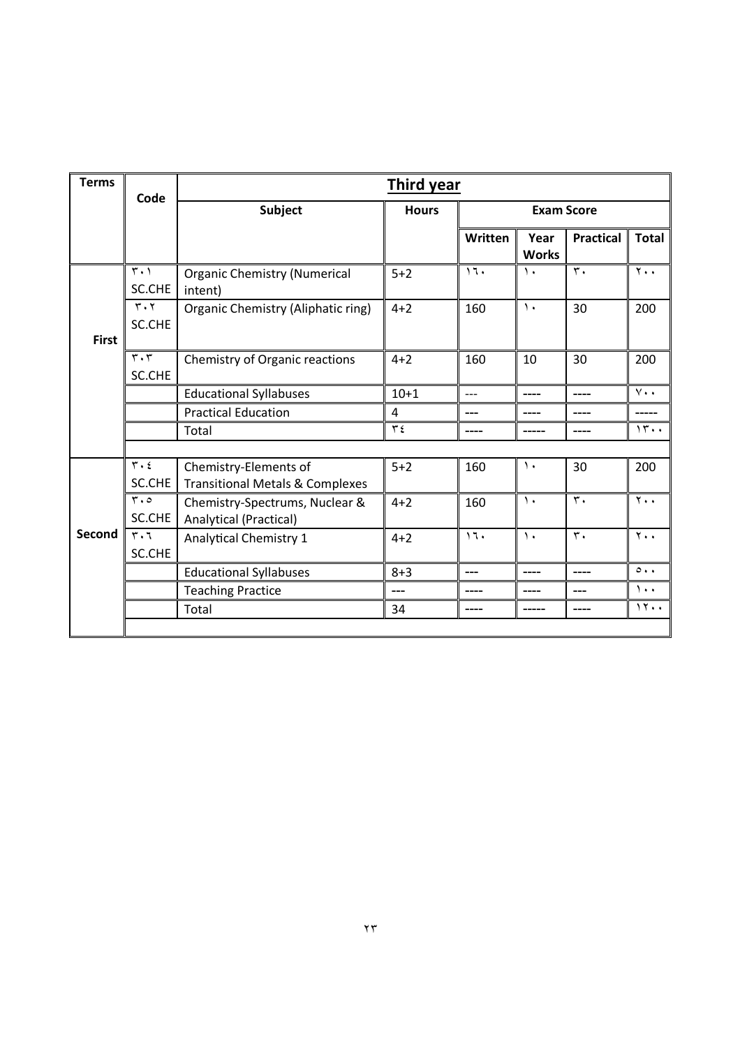| <b>Terms</b> | Code                                    |                                                                     | <b>Third year</b> |         |                      |                  |                     |  |  |  |  |
|--------------|-----------------------------------------|---------------------------------------------------------------------|-------------------|---------|----------------------|------------------|---------------------|--|--|--|--|
|              |                                         | <b>Subject</b>                                                      | <b>Hours</b>      |         | <b>Exam Score</b>    |                  |                     |  |  |  |  |
|              |                                         |                                                                     |                   | Written | Year<br><b>Works</b> | <b>Practical</b> | <b>Total</b>        |  |  |  |  |
|              | $\mathbf{r} \cdot \mathbf{v}$<br>SC.CHE | <b>Organic Chemistry (Numerical</b><br>intent)                      | $5 + 2$           | 17.     | ١.                   | $\mathbf{r}$ .   | $Y \cdot \cdot$     |  |  |  |  |
| <b>First</b> | $\mathbf{r} \cdot \mathbf{r}$<br>SC.CHE | Organic Chemistry (Aliphatic ring)                                  | $4 + 2$           | 160     | $\mathcal{L}$        | 30               | 200                 |  |  |  |  |
|              | $\mathbf{r} \cdot \mathbf{r}$<br>SC.CHE | Chemistry of Organic reactions                                      | $4 + 2$           | 160     | 10                   | 30               | 200                 |  |  |  |  |
|              |                                         | <b>Educational Syllabuses</b>                                       | $10 + 1$          | $---$   | ----                 | ----             | $v \cdot \cdot$     |  |  |  |  |
|              |                                         | <b>Practical Education</b>                                          | 4                 | ---     | ----                 | ----             | -----               |  |  |  |  |
|              |                                         | Total                                                               | $\mathbf{r}$ {    | ----    | ------               | ----             | 15.4                |  |  |  |  |
|              |                                         |                                                                     |                   |         |                      |                  |                     |  |  |  |  |
|              | $\overline{r}$ . $\epsilon$<br>SC.CHE   | Chemistry-Elements of<br><b>Transitional Metals &amp; Complexes</b> | $5 + 2$           | 160     | ١.                   | 30               | 200                 |  |  |  |  |
|              | $r \cdot o$<br>SC.CHE                   | Chemistry-Spectrums, Nuclear &<br>Analytical (Practical)            | $4 + 2$           | 160     | $\lambda$            | $\mathbf{r}$ .   | $Y \cdot \cdot$     |  |  |  |  |
| Second       | $r \cdot 7$<br>SC.CHE                   | <b>Analytical Chemistry 1</b>                                       | $4 + 2$           | 11.     | $\lambda$            | ٣.               | $Y \cdot \cdot$     |  |  |  |  |
|              |                                         | <b>Educational Syllabuses</b>                                       | $8 + 3$           |         | ----                 | ----             | $\circ \cdot \cdot$ |  |  |  |  |
|              |                                         | <b>Teaching Practice</b>                                            | ---               |         |                      | ---              | $\cdots$            |  |  |  |  |
|              |                                         | Total                                                               | 34                |         |                      | ----             | 11                  |  |  |  |  |
|              |                                         |                                                                     |                   |         |                      |                  |                     |  |  |  |  |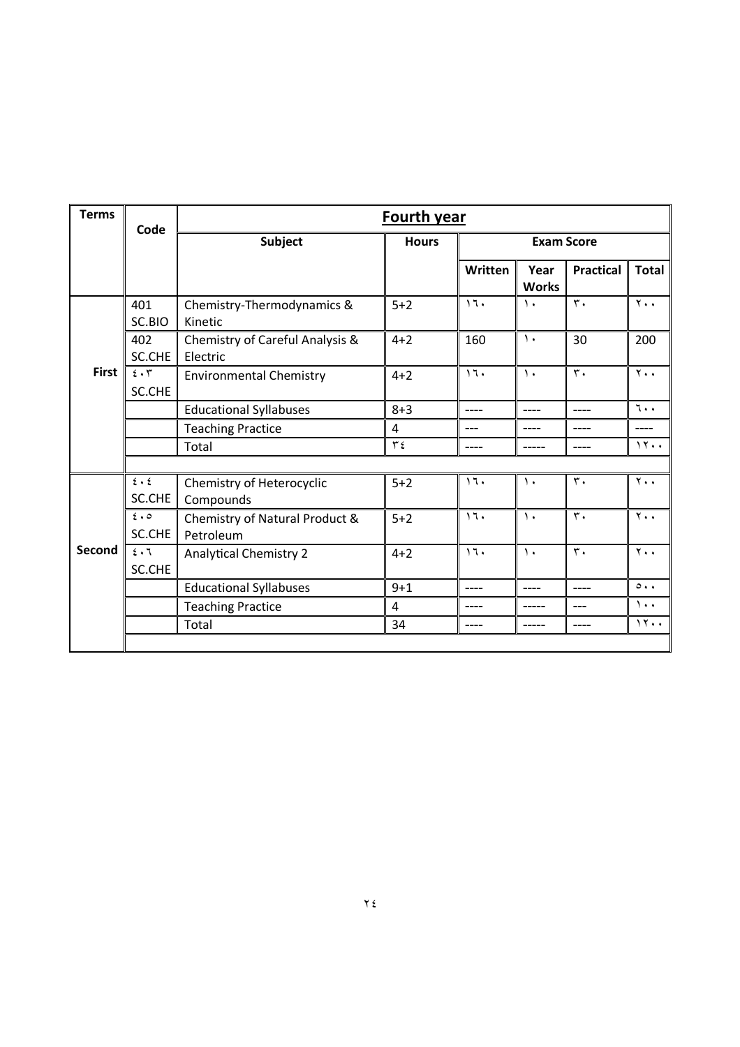| <b>Terms</b> | Code                             |                                             | <b>Fourth year</b> |         |                      |                  |                     |
|--------------|----------------------------------|---------------------------------------------|--------------------|---------|----------------------|------------------|---------------------|
|              |                                  | <b>Subject</b>                              | <b>Hours</b>       |         | <b>Exam Score</b>    |                  |                     |
|              |                                  |                                             |                    | Written | Year<br><b>Works</b> | <b>Practical</b> | <b>Total</b>        |
|              | 401<br>SC.BIO                    | Chemistry-Thermodynamics &<br>Kinetic       | $5 + 2$            | 17.     | ١.                   | $\mathbf{r}$ .   | <del>۲</del> ۰۰     |
|              | 402<br>SC.CHE                    | Chemistry of Careful Analysis &<br>Electric | $4 + 2$            | 160     | $\lambda$            | 30               | 200                 |
| <b>First</b> | 2.5<br>SC.CHE                    | <b>Environmental Chemistry</b>              | $4 + 2$            | 11.     | $\lambda$            | ٣.               | $Y \cdot \cdot$     |
|              |                                  | <b>Educational Syllabuses</b>               | $8 + 3$            | ----    | ----                 | ----             | ٦.,                 |
|              |                                  | <b>Teaching Practice</b>                    | 4                  |         |                      | ----             | ----                |
|              |                                  | Total                                       | $\tau$ {           | ----    |                      | ----             | 15                  |
|              |                                  |                                             |                    |         |                      |                  |                     |
|              | $2 \cdot 2$<br>SC.CHE            | Chemistry of Heterocyclic<br>Compounds      | $5+2$              | 17.     | $\mathcal{L}$        | $\mathbf{r}$ .   | $Y \cdot \cdot$     |
|              | $\epsilon \cdot \circ$<br>SC.CHE | Chemistry of Natural Product &<br>Petroleum | $5 + 2$            | 17.     | $\mathcal{L}$        | $\mathbf{r}$ .   | $Y \cdot \cdot$     |
| Second       | $\epsilon \cdot 7$<br>SC.CHE     | <b>Analytical Chemistry 2</b>               | $4 + 2$            | 17.     | $\mathcal{L}$        | $\mathbf{r}$ .   | $Y \cdot \cdot$     |
|              |                                  | <b>Educational Syllabuses</b>               | $9 + 1$            | ----    | ----                 | ----             | $\circ \cdot \cdot$ |
|              |                                  | <b>Teaching Practice</b>                    | 4                  |         |                      | ---              | $\cdots$            |
|              |                                  | Total                                       | 34                 |         | -----                | ----             | 11                  |
|              |                                  |                                             |                    |         |                      |                  |                     |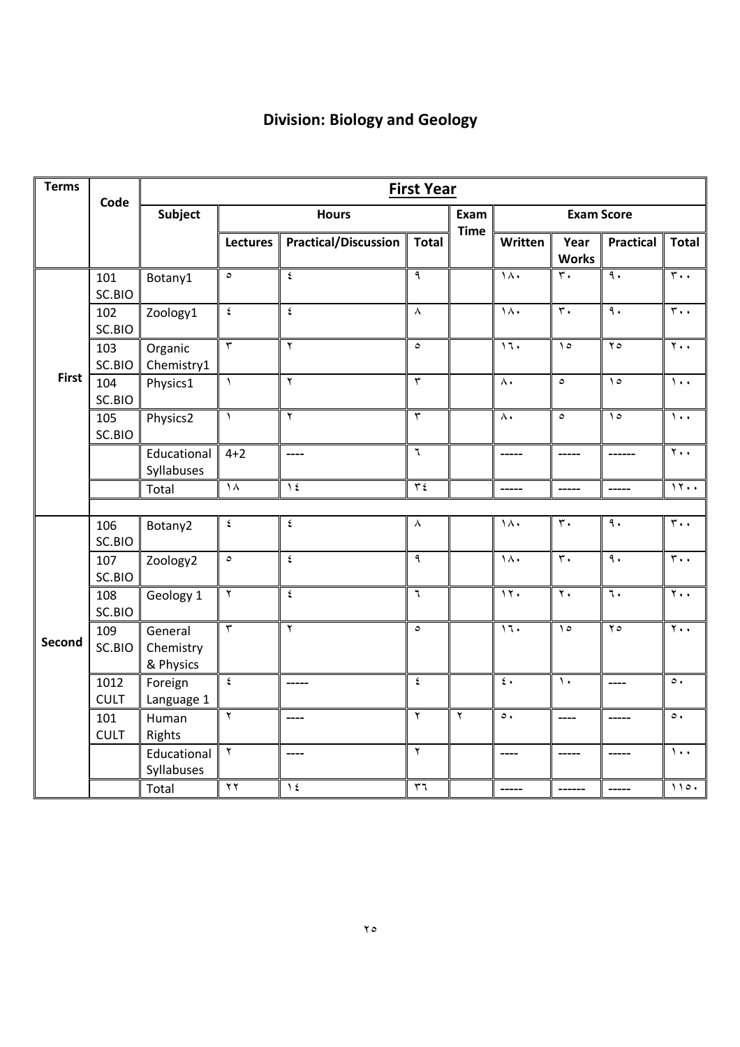## **Division: Biology and Geology**

| <b>Terms</b> | Code                | <b>First Year</b>                 |                         |                             |                          |                         |                       |                           |                                                                                                                                                                                                                                                                                                                                                                                                                                                                            |                               |  |  |  |
|--------------|---------------------|-----------------------------------|-------------------------|-----------------------------|--------------------------|-------------------------|-----------------------|---------------------------|----------------------------------------------------------------------------------------------------------------------------------------------------------------------------------------------------------------------------------------------------------------------------------------------------------------------------------------------------------------------------------------------------------------------------------------------------------------------------|-------------------------------|--|--|--|
|              |                     | Subject                           |                         | <b>Hours</b>                |                          | Exam                    |                       | <b>Exam Score</b>         |                                                                                                                                                                                                                                                                                                                                                                                                                                                                            |                               |  |  |  |
|              |                     |                                   | <b>Lectures</b>         | <b>Practical/Discussion</b> | <b>Total</b>             | <b>Time</b>             | Written               | Year<br><b>Works</b>      | <b>Practical</b>                                                                                                                                                                                                                                                                                                                                                                                                                                                           | <b>Total</b>                  |  |  |  |
|              | 101<br>SC.BIO       | Botany1                           | $\circ$                 | $\pmb{\mathsf{\xi}}$        | ٩                        |                         | $\lambda$             | $\mathbf r$ .             | $\overline{\mathcal{L}}$                                                                                                                                                                                                                                                                                                                                                                                                                                                   | $\overline{\tau}$ .           |  |  |  |
|              | 102<br>SC.BIO       | Zoology1                          | $\mathbf{\hat{z}}$      | ٤                           | $\lambda$                |                         | $\overline{\lambda}$  | $\overline{\mathbf{r}}$ . | $\overline{\mathcal{A}}$ .                                                                                                                                                                                                                                                                                                                                                                                                                                                 | $\overline{r}$ .              |  |  |  |
|              | 103<br>SC.BIO       | Organic<br>Chemistry1             | $\overline{r}$          | $\overline{\mathbf{r}}$     | $\circ$                  |                         | $\overline{11}$       | $\sqrt{2}$                | $\overline{\Upsilon}$                                                                                                                                                                                                                                                                                                                                                                                                                                                      | $\overline{\Upsilon}$ .       |  |  |  |
| <b>First</b> | 104<br>SC.BIO       | Physics1                          | $\lambda$               | $\mathbf{r}$                | $\overline{\mathbf{r}}$  |                         | $\overline{\lambda}$  | $\circ$                   | $\Omega$                                                                                                                                                                                                                                                                                                                                                                                                                                                                   | $\overline{\cdot\cdot}$       |  |  |  |
|              | 105<br>SC.BIO       | Physics2                          | $\lambda$               | $\overline{\mathbf{r}}$     | $\overline{\tau}$        |                         | $\Lambda$             | $\circ$                   | $\Delta$                                                                                                                                                                                                                                                                                                                                                                                                                                                                   | $\mathcal{L}$ .               |  |  |  |
|              |                     | Educational<br>Syllabuses         | $4 + 2$                 | ----                        | ٦                        |                         | $- - - - -$           | $\cdots$                  | $- - - - - -$                                                                                                                                                                                                                                                                                                                                                                                                                                                              | $\overline{\tau \cdot \cdot}$ |  |  |  |
|              |                     | Total                             | $\overline{\lambda}$    | $\sqrt{2}$                  | $\overline{\tau}$        |                         | $\frac{1}{2}$         | $\frac{1}{2}$             | $\frac{1}{1}$                                                                                                                                                                                                                                                                                                                                                                                                                                                              | 11                            |  |  |  |
|              | 106                 | Botany2                           | ٤                       | $\pmb{\mathfrak{c}}$        | $\lambda$                |                         | ١٨٠                   | $\mathbf{r}$ .            | $\mathfrak{q}$ .                                                                                                                                                                                                                                                                                                                                                                                                                                                           | $\overline{\tau}$ .           |  |  |  |
|              | SC.BIO              |                                   |                         |                             |                          |                         |                       |                           |                                                                                                                                                                                                                                                                                                                                                                                                                                                                            |                               |  |  |  |
|              | 107<br>SC.BIO       | Zoology2                          | $\circ$                 | $\pmb{\xi}$                 | ٩                        |                         | $\lambda$ .           | $\overline{r}$ .          | $\overline{\mathcal{A}}$                                                                                                                                                                                                                                                                                                                                                                                                                                                   | $\overline{r}$ .              |  |  |  |
|              | 108<br>SC.BIO       | Geology 1                         | $\overline{\mathbf{y}}$ | $\pmb{\mathfrak{c}}$        | $\overline{\mathcal{L}}$ |                         | 11.                   | $\overline{\Upsilon}$     | $\overline{\mathfrak{r}}$                                                                                                                                                                                                                                                                                                                                                                                                                                                  | $\overline{\Upsilon\cdots}$   |  |  |  |
| Second       | 109<br>SC.BIO       | General<br>Chemistry<br>& Physics | $\overline{r}$          | $\overline{\mathbf{r}}$     | $\circ$                  |                         | 11.                   | $\lambda$                 | $\overline{\Upsilon}$                                                                                                                                                                                                                                                                                                                                                                                                                                                      | $\overline{\Upsilon\cdots}$   |  |  |  |
|              | 1012<br><b>CULT</b> | Foreign<br>Language 1             | $\mathbf{\hat{z}}$      | -----                       | $\pmb{\mathsf{\xi}}$     |                         | $\overline{\epsilon}$ | $\mathcal{L}$             | $\frac{1}{1}$                                                                                                                                                                                                                                                                                                                                                                                                                                                              | $\circ$ .                     |  |  |  |
|              | 101<br><b>CULT</b>  | Human<br>Rights                   | ۲                       | ----                        | $\overline{\mathbf{r}}$  | $\overline{\mathsf{r}}$ | $\circ$ .             | $---$                     | -----                                                                                                                                                                                                                                                                                                                                                                                                                                                                      | $\circ$ .                     |  |  |  |
|              |                     | Educational<br>Syllabuses         | $\overline{\mathbf{r}}$ | ----                        | $\mathbf Y$              |                         | $---$                 | $-----1$                  | -----                                                                                                                                                                                                                                                                                                                                                                                                                                                                      | $\mathcal{L}$ .               |  |  |  |
|              |                     | Total                             | $\gamma \gamma$         | $\gamma$ {                  | $\mathbf{r}$             |                         | $-----$               |                           | $\frac{1}{2} \left( \frac{1}{2} \right) \left( \frac{1}{2} \right) \left( \frac{1}{2} \right) \left( \frac{1}{2} \right) \left( \frac{1}{2} \right) \left( \frac{1}{2} \right) \left( \frac{1}{2} \right) \left( \frac{1}{2} \right) \left( \frac{1}{2} \right) \left( \frac{1}{2} \right) \left( \frac{1}{2} \right) \left( \frac{1}{2} \right) \left( \frac{1}{2} \right) \left( \frac{1}{2} \right) \left( \frac{1}{2} \right) \left( \frac{1}{2} \right) \left( \frac$ | 110.                          |  |  |  |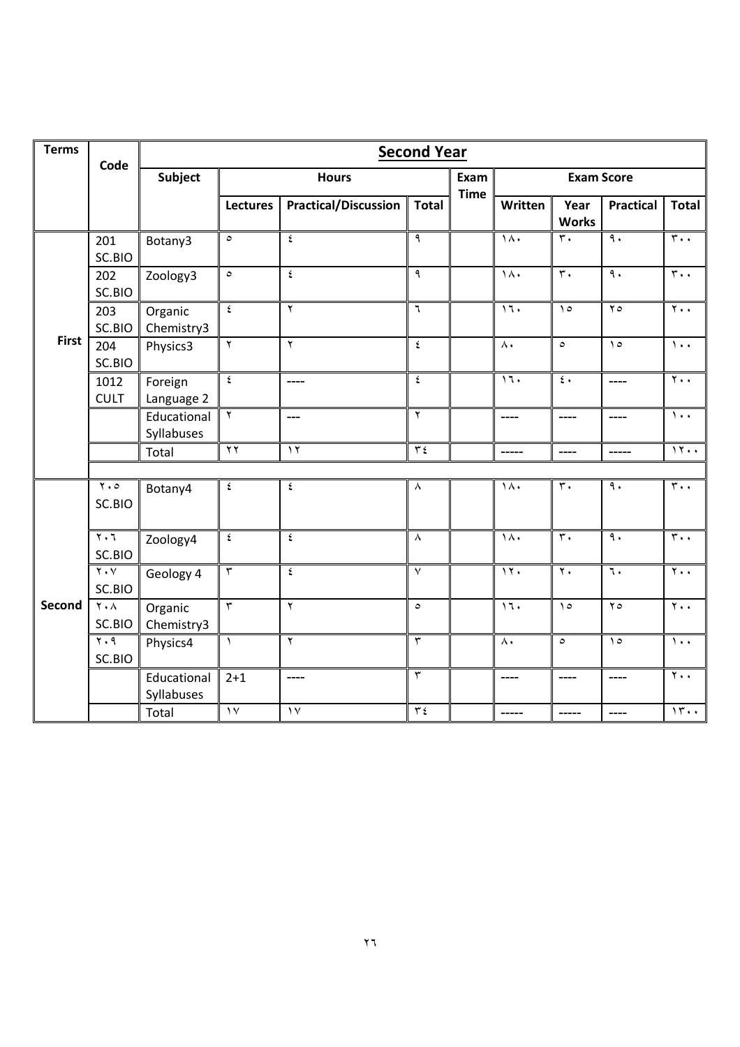| <b>Terms</b>  | Code                                             | <b>Second Year</b>        |                          |                             |                          |                     |                         |                           |                          |                          |  |  |  |
|---------------|--------------------------------------------------|---------------------------|--------------------------|-----------------------------|--------------------------|---------------------|-------------------------|---------------------------|--------------------------|--------------------------|--|--|--|
|               |                                                  | Subject                   |                          | <b>Hours</b>                |                          | Exam<br><b>Time</b> |                         | <b>Exam Score</b>         |                          |                          |  |  |  |
|               |                                                  |                           | <b>Lectures</b>          | <b>Practical/Discussion</b> | <b>Total</b>             |                     | Written                 | Year<br><b>Works</b>      | <b>Practical</b>         | <b>Total</b>             |  |  |  |
|               | 201<br>SC.BIO                                    | Botany3                   | $\circ$                  | ٤                           | ٩                        |                     | $\overline{\lambda}$    | $\mathbf{r}$ .            | $\overline{\mathcal{A}}$ |                          |  |  |  |
|               | 202<br>SC.BIO                                    | Zoology3                  | $\mathbf{\circ}$         | ٤                           | $\overline{\mathsf{a}}$  |                     | $\overline{\lambda}$    | $\overline{\mathfrak{r}}$ | $\overline{\mathcal{A}}$ | $\mathbf{r}$ .           |  |  |  |
|               | 203<br>SC.BIO                                    | Organic<br>Chemistry3     | $\pmb{\epsilon}$         | $\mathsf{Y}$                | $\overline{\mathbf{r}}$  |                     | 11.                     | $\Omega$                  | $\overline{\Upsilon}$    | $\overline{\Upsilon}$ .  |  |  |  |
| <b>First</b>  | 204<br>SC.BIO                                    | Physics3                  | $\overline{\mathbf{r}}$  | $\mathbf Y$                 | $\pmb{\mathsf{\hat{z}}}$ |                     | $\wedge\cdot$           | $\circ$                   | $\Omega$                 | $\overline{\phantom{a}}$ |  |  |  |
|               | 1012<br><b>CULT</b>                              | Foreign<br>Language 2     | $\pmb{\mathsf{\hat{z}}}$ | $---$                       | $\pmb{\mathsf{\xi}}$     |                     | $\overline{11}$         | $\epsilon$ .              | ----                     | $\mathbf{y}$ .           |  |  |  |
|               |                                                  | Educational<br>Syllabuses | $\mathbf Y$              | $---$                       | $\overline{\mathbf{r}}$  |                     | $\frac{1}{1}$           | ----                      | ----                     | $\mathcal{L}$ .          |  |  |  |
|               |                                                  | Total                     | $\overline{Y}$           | $\gamma$                    | $\overline{\tau}$        |                     | -----                   | ----                      |                          | 11                       |  |  |  |
|               | $\mathbf{y} \cdot \mathbf{0}$<br>SC.BIO          | Botany4                   | ٤                        | ٤                           | ٨                        |                     | $\lambda$               | $\mathbf r$ .             | $\mathcal{A}$ .          | $r \cdot \cdot$          |  |  |  |
|               | $\overline{\mathbf{y}}\cdot\mathbf{y}$<br>SC.BIO | Zoology4                  | $\acute{\text{z}}$       | ٤                           | $\boldsymbol{\wedge}$    |                     | $\lambda$               | $\mathbf r$ .             | $\overline{\mathcal{C}}$ | $\overline{\tau}$ .      |  |  |  |
|               | $Y \cdot V$<br>SC.BIO                            | Geology 4                 | $\overline{\tau}$        | ٤                           | $\overline{\mathsf{v}}$  |                     | $\overline{\mathbf{y}}$ | $\overline{\mathbf{y}}$   | $\overline{\cdot}$       | $\overline{\Upsilon}$ .  |  |  |  |
| <b>Second</b> | $\overline{\Upsilon \cdot \Lambda}$<br>SC.BIO    | Organic<br>Chemistry3     | $\overline{\mathbf{r}}$  | $\overline{\mathsf{r}}$     | $\circ$                  |                     | 17.                     | $\lambda$                 | $\overline{\Upsilon}$    | $\overline{\Upsilon}$ .  |  |  |  |
|               | $\mathbf{y} \cdot \mathbf{q}$<br>SC.BIO          | Physics4                  | $\lambda$                | ٢                           | $\overline{\tau}$        |                     | $\wedge\cdot$           | $\circ$                   | $\Delta$                 | $\mathcal{N}$ .          |  |  |  |
|               |                                                  | Educational<br>Syllabuses | $2 + 1$                  | $---$                       | $\overline{\mathbf{r}}$  |                     | $---$                   | ----                      | ----                     | $\overline{\Upsilon}$ .  |  |  |  |
|               |                                                  | Total                     | $\overline{y}$           | $\overline{y}$              | $\overline{\tau}$        |                     | -----                   | -----                     | $---$                    | 15                       |  |  |  |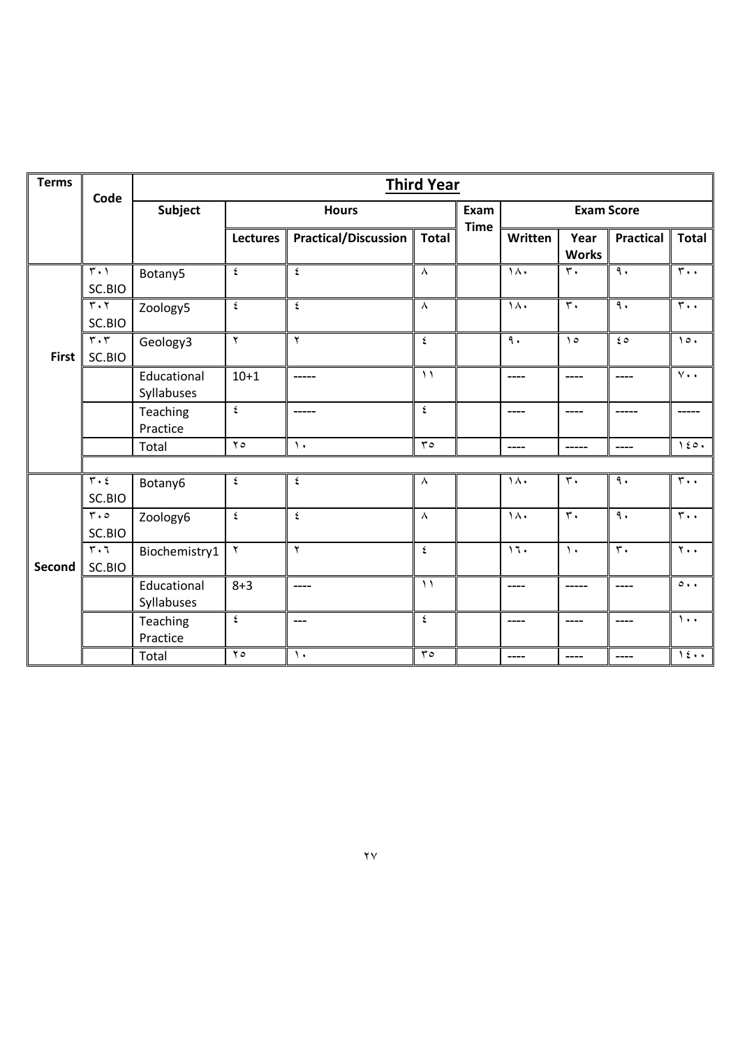| <b>Terms</b> | Code                                             |                           | <b>Third Year</b>  |                             |              |             |                          |                      |                           |                                        |  |  |  |
|--------------|--------------------------------------------------|---------------------------|--------------------|-----------------------------|--------------|-------------|--------------------------|----------------------|---------------------------|----------------------------------------|--|--|--|
|              |                                                  | Subject                   |                    | <b>Hours</b>                |              | Exam        |                          | <b>Exam Score</b>    |                           |                                        |  |  |  |
|              |                                                  |                           | <b>Lectures</b>    | <b>Practical/Discussion</b> | <b>Total</b> | <b>Time</b> | Written                  | Year<br><b>Works</b> | <b>Practical</b>          | <b>Total</b>                           |  |  |  |
|              | $\overline{\tau_{\boldsymbol{\cdot}}}$<br>SC.BIO | Botany5                   | ٤                  | ٤                           | $\lambda$    |             | $\lambda$                | $\mathsf{r}$ .       | $\overline{\mathcal{L}}$  | $\overline{\mathbf{r}}\cdot\mathbf{r}$ |  |  |  |
|              | $\mathbf{r} \cdot \mathbf{r}$<br>SC.BIO          | Zoology5                  | ٤                  | $\pmb{\mathfrak{c}}$        | Λ            |             | $\lambda$                | $\mathsf{r}$ .       | $\mathcal{A}$ .           | $r \cdot \cdot$                        |  |  |  |
| <b>First</b> | $\overline{\mathbf{r}\cdot\mathbf{r}}$<br>SC.BIO | Geology3                  | $\mathbf{Y}$       | ٢                           | ٤            |             | $\overline{\mathcal{L}}$ | $\Delta$             | $\epsilon \circ$          | $\lambda \circ \cdot$                  |  |  |  |
|              |                                                  | Educational<br>Syllabuses | $10+1$             | -----                       | $\lambda$    |             | $---$                    | $---$                | $- - - -$                 | $v \cdot$                              |  |  |  |
|              |                                                  | Teaching<br>Practice      | ٤                  | -----                       | ٤            |             | ----                     | $---$                |                           |                                        |  |  |  |
|              |                                                  | Total                     | $Y \circ$          | $\lambda$                   | ro           |             | $---$                    | $\frac{1}{2}$        |                           | 150.                                   |  |  |  |
|              |                                                  |                           |                    |                             |              |             |                          |                      |                           |                                        |  |  |  |
|              | $r \cdot t$<br>SC.BIO                            | Botany6                   | ٤                  | ٤                           | $\lambda$    |             | $\lambda$                | $\mathsf{r}$ .       | $\mathcal{A}$ .           | $\mathbf{r}$ .                         |  |  |  |
|              | $r \cdot o$<br>SC.BIO                            | Zoology6                  | $\acute{\text{z}}$ | $\acute{\text{z}}$          | $\lambda$    |             | $\lambda$                | $\mathbf{r}$ .       | $\mathcal{A}$ .           | $\overline{\mathfrak{r}}$ .            |  |  |  |
| Second       | $\overline{r}$ .<br>SC.BIO                       | Biochemistry1             | $\mathbf{Y}$       | ۲                           | ٤            |             | 11.                      | $\lambda$            | $\overline{\mathbf{r}}$ . | $\mathbf{y}$ .                         |  |  |  |
|              |                                                  | Educational<br>Syllabuses | $8 + 3$            | $---$                       | $\lambda$    |             | ----                     |                      | ----                      | $\circ \cdot \cdot$                    |  |  |  |
|              |                                                  | Teaching<br>Practice      | ٤                  | $---$                       | ٤            |             | ----                     | $---$                | $- - - -$                 | $\lambda$ .                            |  |  |  |
|              |                                                  | Total                     | $Y \circ$          | $\lambda$                   | ro           |             | ----                     | $---$                |                           | 15                                     |  |  |  |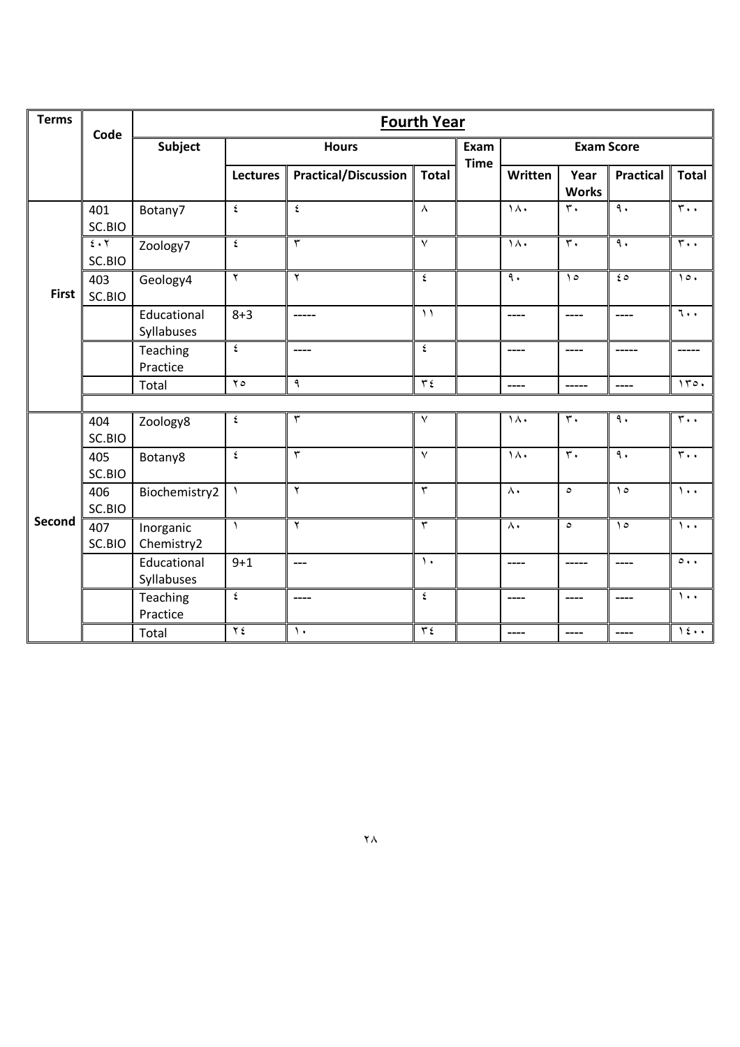| <b>Terms</b> | Code                         |                           | <b>Fourth Year</b>      |                             |                          |             |                          |                           |                          |                                                       |  |  |  |  |
|--------------|------------------------------|---------------------------|-------------------------|-----------------------------|--------------------------|-------------|--------------------------|---------------------------|--------------------------|-------------------------------------------------------|--|--|--|--|
|              |                              | <b>Subject</b>            |                         | <b>Hours</b>                |                          | Exam        |                          | <b>Exam Score</b>         |                          |                                                       |  |  |  |  |
|              |                              |                           | <b>Lectures</b>         | <b>Practical/Discussion</b> | <b>Total</b>             | <b>Time</b> | Written                  | Year<br><b>Works</b>      | Practical                | <b>Total</b>                                          |  |  |  |  |
|              | 401<br>SC.BIO                | Botany7                   | ٤                       | $\pmb{\mathfrak{c}}$        | $\boldsymbol{\wedge}$    |             | $\lambda$                | $\mathbf{r}$ .            | $\overline{\mathcal{L}}$ | $\overline{\mathfrak{r}}\cdot\overline{\mathfrak{r}}$ |  |  |  |  |
|              | $\epsilon \cdot r$<br>SC.BIO | Zoology7                  | $\pmb{\mathfrak{c}}$    | $\overline{\mathbf{r}}$     | $\overline{\mathsf{v}}$  |             | $\overline{\lambda}$     | $\overline{\mathbf{r}}$ . | $\overline{\mathcal{A}}$ | $\overline{\mathbf{r}}\cdot\mathbf{r}$                |  |  |  |  |
| <b>First</b> | 403<br>SC.BIO                | Geology4                  | $\overline{\mathsf{r}}$ | $\overline{\mathsf{r}}$     | $\overline{\epsilon}$    |             | $\overline{\mathcal{A}}$ | $\Omega$                  | $\epsilon$               | $\lambda \circ \cdot$                                 |  |  |  |  |
|              |                              | Educational<br>Syllabuses | $8 + 3$                 | -----                       | $\overline{\mathcal{L}}$ |             | ----                     | $---$                     | ----                     | $\overline{\cdot \cdot \cdot}$                        |  |  |  |  |
|              |                              | Teaching<br>Practice      | ٤                       | ----                        | $\pmb{\mathfrak{c}}$     |             | ----                     | $---$                     |                          |                                                       |  |  |  |  |
|              |                              | Total                     | $Y \circ$               | ٩                           | $\overline{\tau}$        |             | $---$                    | -----                     | $---$                    | 170.                                                  |  |  |  |  |
|              |                              |                           |                         |                             |                          |             |                          |                           |                          |                                                       |  |  |  |  |
|              | 404<br>SC.BIO                | Zoology8                  | ٤                       | $\mathbf{\breve{v}}$        | $\overline{\vee}$        |             | $\lambda$                | $\mathbf r$ .             | $\overline{\mathsf{a}}$  | $\overline{\tau}$ .                                   |  |  |  |  |
|              | 405<br>SC.BIO                | Botany8                   | $\pmb{\acute{\Sigma}}$  | $\mathbf{r}$                | $\vee$                   |             | $\overline{\lambda}$     | $\overline{\mathbf{r}}$   | $\overline{\mathcal{L}}$ | $\overline{\tau}$ .                                   |  |  |  |  |
|              | 406<br>SC.BIO                | Biochemistry2             | $\lambda$               | $\mathsf{Y}$                | $\overline{\mathbf{r}}$  |             | $\wedge\cdot$            | $\circ$                   | $\lambda$                | $\lambda$ .                                           |  |  |  |  |
| Second       | 407<br>SC.BIO                | Inorganic<br>Chemistry2   | $\lambda$               | $\mathsf{Y}$                | $\mathbf{r}$             |             | $\wedge\cdot$            | $\circ$                   | $\lambda$                | $\lambda$ .                                           |  |  |  |  |
|              |                              | Educational<br>Syllabuses | $9 + 1$                 | $---$                       | $\lambda$                |             | ----                     | $- - - - - -$             | ----                     | $\circ \cdot \cdot$                                   |  |  |  |  |
|              |                              | Teaching<br>Practice      | $\pmb{\epsilon}$        | ----                        | $\pmb{\epsilon}$         |             | ----                     | $---$                     | ----                     | $\lambda \cdot \cdot$                                 |  |  |  |  |
|              |                              | Total                     | $Y \xi$                 | $\lambda$                   | $\overline{\tau}$        |             | ----                     | $---$                     |                          | 15                                                    |  |  |  |  |

٢٨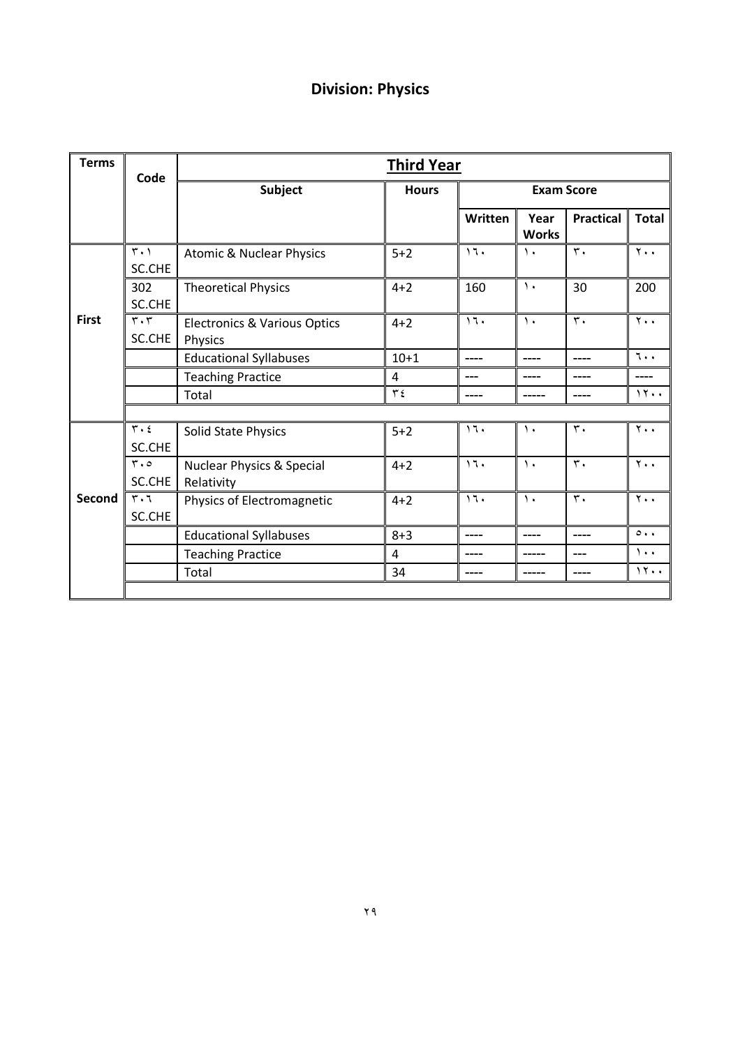### **Division: Physics**

| <b>Terms</b> | Code                                    | <b>Third Year</b>                                  |              |                   |                      |                  |                     |  |  |
|--------------|-----------------------------------------|----------------------------------------------------|--------------|-------------------|----------------------|------------------|---------------------|--|--|
|              |                                         | Subject                                            | <b>Hours</b> | <b>Exam Score</b> |                      |                  |                     |  |  |
|              |                                         |                                                    |              | Written           | Year<br><b>Works</b> | <b>Practical</b> | <b>Total</b>        |  |  |
| <b>First</b> | $\mathbf{r} \cdot \mathbf{v}$<br>SC.CHE | <b>Atomic &amp; Nuclear Physics</b>                | $5 + 2$      | 11.               | ١.                   | $\mathbf{r}$ .   | $Y \cdot \cdot$     |  |  |
|              | 302<br>SC.CHE                           | <b>Theoretical Physics</b>                         | $4 + 2$      | 160               | $\mathcal{L}$        | 30               | 200                 |  |  |
|              | $\mathbf{r} \cdot \mathbf{r}$<br>SC.CHE | <b>Electronics &amp; Various Optics</b><br>Physics | $4 + 2$      | 17.               | ١.                   | $\mathbf{r}$ .   | $Y \cdot \cdot$     |  |  |
|              |                                         | <b>Educational Syllabuses</b>                      | $10+1$       | ----              | ----                 | ----             | ٦.,                 |  |  |
|              |                                         | <b>Teaching Practice</b>                           | 4            |                   |                      |                  | ----                |  |  |
|              |                                         | Total                                              | $\tau$ {     |                   |                      | ----             | 11                  |  |  |
|              |                                         |                                                    |              |                   |                      |                  |                     |  |  |
|              | $\mathbf{r} \cdot \mathbf{r}$           | Solid State Physics                                | $5 + 2$      | 17.               | $\mathcal{L}$        | ٣.               | $Y \cdot \cdot$     |  |  |
|              | SC.CHE                                  |                                                    |              |                   |                      |                  |                     |  |  |
|              | $r \cdot o$                             | <b>Nuclear Physics &amp; Special</b>               | $4 + 2$      | 17.               | $\lambda$            | $\mathbf{r}$ .   | $Y \cdot \cdot$     |  |  |
|              | SC.CHE                                  | Relativity                                         |              |                   |                      |                  |                     |  |  |
| Second       | $r \cdot 7$                             | Physics of Electromagnetic                         | $4 + 2$      | 17.               | $\mathcal{L}$        | $\mathbf{r}$ .   | $Y \cdot \cdot$     |  |  |
|              | SC.CHE                                  |                                                    |              |                   |                      |                  |                     |  |  |
|              |                                         | <b>Educational Syllabuses</b>                      | $8 + 3$      | ----              | ----                 | ----             | $\circ \cdot \cdot$ |  |  |
|              |                                         | <b>Teaching Practice</b>                           | 4            |                   |                      | ---              | $\lambda$ .         |  |  |
|              |                                         | Total                                              | 34           |                   |                      | ----             | 11                  |  |  |
|              |                                         |                                                    |              |                   |                      |                  |                     |  |  |